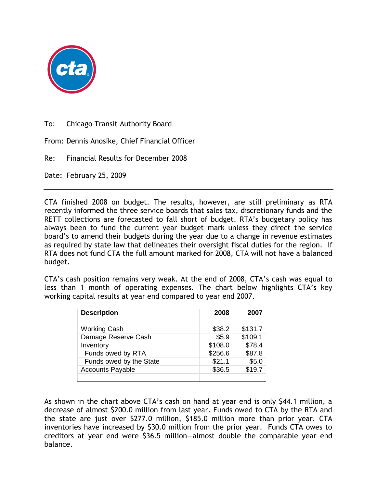

To: Chicago Transit Authority Board

From: Dennis Anosike, Chief Financial Officer

Re: Financial Results for December 2008

Date: February 25, 2009

CTA finished 2008 on budget. The results, however, are still preliminary as RTA recently informed the three service boards that sales tax, discretionary funds and the RETT collections are forecasted to fall short of budget. RTA's budgetary policy has always been to fund the current year budget mark unless they direct the service board's to amend their budgets during the year due to a change in revenue estimates as required by state law that delineates their oversight fiscal duties for the region. If RTA does not fund CTA the full amount marked for 2008, CTA will not have a balanced budget.

CTA's cash position remains very weak. At the end of 2008, CTA's cash was equal to less than 1 month of operating expenses. The chart below highlights CTA's key working capital results at year end compared to year end 2007.

| <b>Description</b>      | 2008    | 2007    |
|-------------------------|---------|---------|
|                         |         |         |
| <b>Working Cash</b>     | \$38.2  | \$131.7 |
| Damage Reserve Cash     | \$5.9   | \$109.1 |
| Inventory               | \$108.0 | \$78.4  |
| Funds owed by RTA       | \$256.6 | \$87.8  |
| Funds owed by the State | \$21.1  | \$5.0   |
| <b>Accounts Payable</b> | \$36.5  | \$19.7  |
|                         |         |         |

As shown in the chart above CTA's cash on hand at year end is only \$44.1 million, a decrease of almost \$200.0 million from last year. Funds owed to CTA by the RTA and the state are just over \$277.0 million, \$185.0 million more than prior year. CTA inventories have increased by \$30.0 million from the prior year. Funds CTA owes to creditors at year end were \$36.5 million—almost double the comparable year end balance.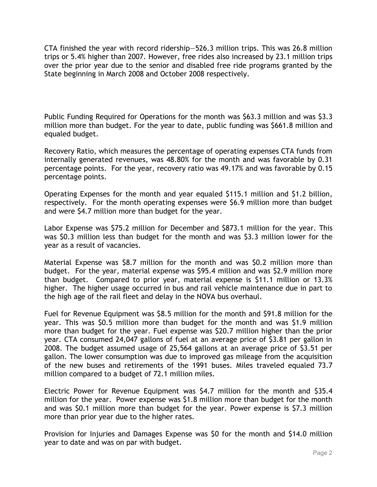CTA finished the year with record ridership—526.3 million trips. This was 26.8 million trips or 5.4% higher than 2007. However, free rides also increased by 23.1 million trips over the prior year due to the senior and disabled free ride programs granted by the State beginning in March 2008 and October 2008 respectively.

Public Funding Required for Operations for the month was \$63.3 million and was \$3.3 million more than budget. For the year to date, public funding was \$661.8 million and equaled budget.

Recovery Ratio, which measures the percentage of operating expenses CTA funds from internally generated revenues, was 48.80% for the month and was favorable by 0.31 percentage points. For the year, recovery ratio was 49.17% and was favorable by 0.15 percentage points.

Operating Expenses for the month and year equaled \$115.1 million and \$1.2 billion, respectively. For the month operating expenses were \$6.9 million more than budget and were \$4.7 million more than budget for the year.

Labor Expense was \$75.2 million for December and \$873.1 million for the year. This was \$0.3 million less than budget for the month and was \$3.3 million lower for the year as a result of vacancies.

Material Expense was \$8.7 million for the month and was \$0.2 million more than budget. For the year, material expense was \$95.4 million and was \$2.9 million more than budget. Compared to prior year, material expense is \$11.1 million or 13.3% higher. The higher usage occurred in bus and rail vehicle maintenance due in part to the high age of the rail fleet and delay in the NOVA bus overhaul.

Fuel for Revenue Equipment was \$8.5 million for the month and \$91.8 million for the year. This was \$0.5 million more than budget for the month and was \$1.9 million more than budget for the year. Fuel expense was \$20.7 million higher than the prior year. CTA consumed 24,047 gallons of fuel at an average price of \$3.81 per gallon in 2008. The budget assumed usage of 25,564 gallons at an average price of \$3.51 per gallon. The lower consumption was due to improved gas mileage from the acquisition of the new buses and retirements of the 1991 buses. Miles traveled equaled 73.7 million compared to a budget of 72.1 million miles.

Electric Power for Revenue Equipment was \$4.7 million for the month and \$35.4 million for the year. Power expense was \$1.8 million more than budget for the month and was \$0.1 million more than budget for the year. Power expense is \$7.3 million more than prior year due to the higher rates.

Provision for Injuries and Damages Expense was \$0 for the month and \$14.0 million year to date and was on par with budget.